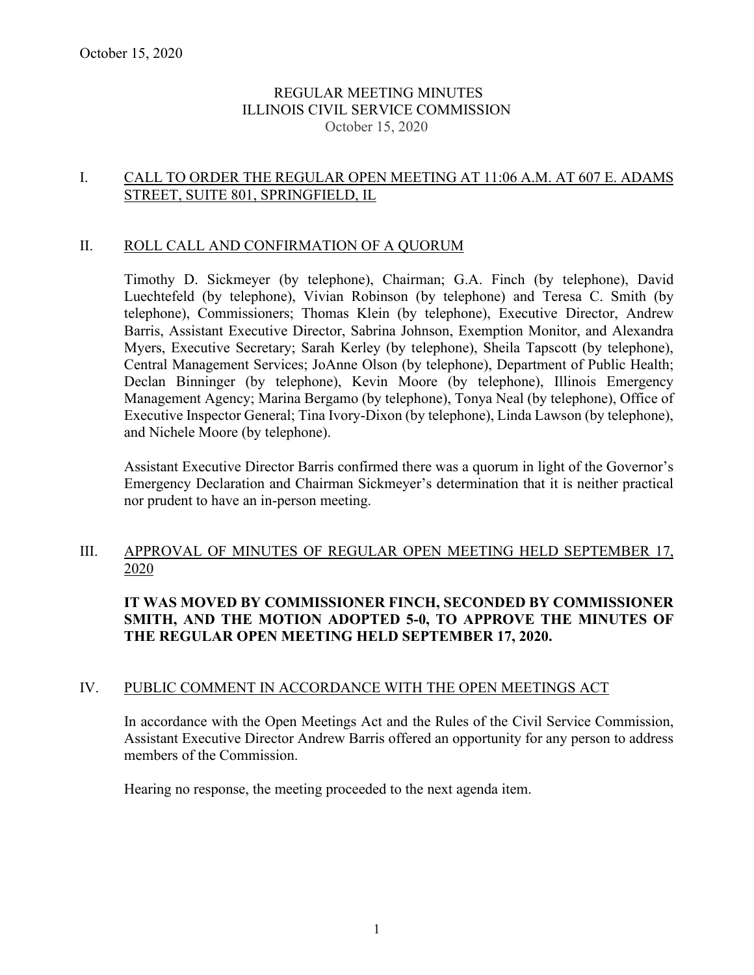### REGULAR MEETING MINUTES ILLINOIS CIVIL SERVICE COMMISSION October 15, 2020

## I. CALL TO ORDER THE REGULAR OPEN MEETING AT 11:06 A.M. AT 607 E. ADAMS STREET, SUITE 801, SPRINGFIELD, IL

#### II. ROLL CALL AND CONFIRMATION OF A QUORUM

Timothy D. Sickmeyer (by telephone), Chairman; G.A. Finch (by telephone), David Luechtefeld (by telephone), Vivian Robinson (by telephone) and Teresa C. Smith (by telephone), Commissioners; Thomas Klein (by telephone), Executive Director, Andrew Barris, Assistant Executive Director, Sabrina Johnson, Exemption Monitor, and Alexandra Myers, Executive Secretary; Sarah Kerley (by telephone), Sheila Tapscott (by telephone), Central Management Services; JoAnne Olson (by telephone), Department of Public Health; Declan Binninger (by telephone), Kevin Moore (by telephone), Illinois Emergency Management Agency; Marina Bergamo (by telephone), Tonya Neal (by telephone), Office of Executive Inspector General; Tina Ivory-Dixon (by telephone), Linda Lawson (by telephone), and Nichele Moore (by telephone).

Assistant Executive Director Barris confirmed there was a quorum in light of the Governor's Emergency Declaration and Chairman Sickmeyer's determination that it is neither practical nor prudent to have an in-person meeting.

# III. APPROVAL OF MINUTES OF REGULAR OPEN MEETING HELD SEPTEMBER 17, 2020

# **IT WAS MOVED BY COMMISSIONER FINCH, SECONDED BY COMMISSIONER SMITH, AND THE MOTION ADOPTED 5-0, TO APPROVE THE MINUTES OF THE REGULAR OPEN MEETING HELD SEPTEMBER 17, 2020.**

#### IV. PUBLIC COMMENT IN ACCORDANCE WITH THE OPEN MEETINGS ACT

In accordance with the Open Meetings Act and the Rules of the Civil Service Commission, Assistant Executive Director Andrew Barris offered an opportunity for any person to address members of the Commission.

Hearing no response, the meeting proceeded to the next agenda item.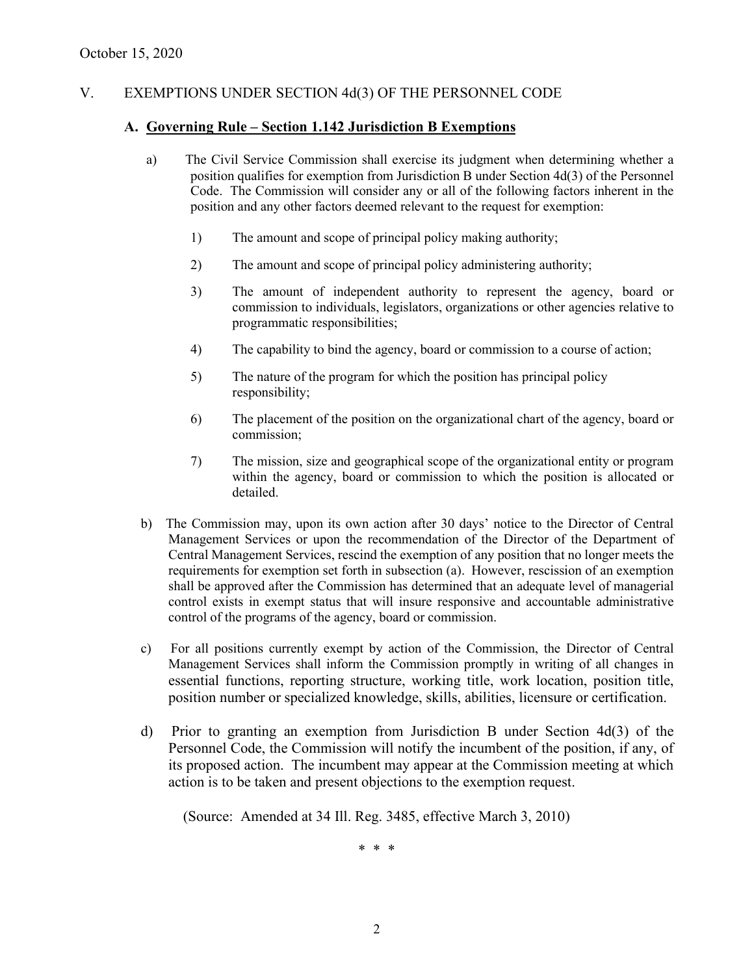# V. EXEMPTIONS UNDER SECTION 4d(3) OF THE PERSONNEL CODE

### **A. Governing Rule – Section 1.142 Jurisdiction B Exemptions**

- a) The Civil Service Commission shall exercise its judgment when determining whether a position qualifies for exemption from Jurisdiction B under Section 4d(3) of the Personnel Code. The Commission will consider any or all of the following factors inherent in the position and any other factors deemed relevant to the request for exemption:
	- 1) The amount and scope of principal policy making authority;
	- 2) The amount and scope of principal policy administering authority;
	- 3) The amount of independent authority to represent the agency, board or commission to individuals, legislators, organizations or other agencies relative to programmatic responsibilities;
	- 4) The capability to bind the agency, board or commission to a course of action;
	- 5) The nature of the program for which the position has principal policy responsibility;
	- 6) The placement of the position on the organizational chart of the agency, board or commission;
	- 7) The mission, size and geographical scope of the organizational entity or program within the agency, board or commission to which the position is allocated or detailed.
- b) The Commission may, upon its own action after 30 days' notice to the Director of Central Management Services or upon the recommendation of the Director of the Department of Central Management Services, rescind the exemption of any position that no longer meets the requirements for exemption set forth in subsection (a). However, rescission of an exemption shall be approved after the Commission has determined that an adequate level of managerial control exists in exempt status that will insure responsive and accountable administrative control of the programs of the agency, board or commission.
- c) For all positions currently exempt by action of the Commission, the Director of Central Management Services shall inform the Commission promptly in writing of all changes in essential functions, reporting structure, working title, work location, position title, position number or specialized knowledge, skills, abilities, licensure or certification.
- d) Prior to granting an exemption from Jurisdiction B under Section 4d(3) of the Personnel Code, the Commission will notify the incumbent of the position, if any, of its proposed action. The incumbent may appear at the Commission meeting at which action is to be taken and present objections to the exemption request.

(Source: Amended at 34 Ill. Reg. 3485, effective March 3, 2010)

\* \* \*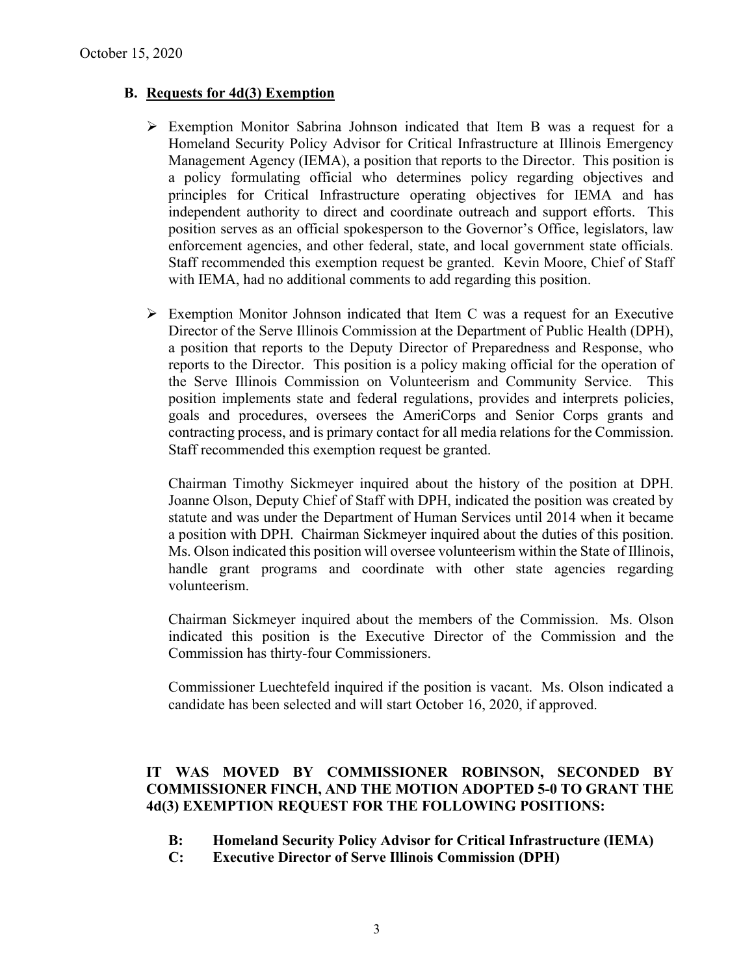### **B. Requests for 4d(3) Exemption**

- $\triangleright$  Exemption Monitor Sabrina Johnson indicated that Item B was a request for a Homeland Security Policy Advisor for Critical Infrastructure at Illinois Emergency Management Agency (IEMA), a position that reports to the Director. This position is a policy formulating official who determines policy regarding objectives and principles for Critical Infrastructure operating objectives for IEMA and has independent authority to direct and coordinate outreach and support efforts. This position serves as an official spokesperson to the Governor's Office, legislators, law enforcement agencies, and other federal, state, and local government state officials. Staff recommended this exemption request be granted. Kevin Moore, Chief of Staff with IEMA, had no additional comments to add regarding this position.
- $\triangleright$  Exemption Monitor Johnson indicated that Item C was a request for an Executive Director of the Serve Illinois Commission at the Department of Public Health (DPH), a position that reports to the Deputy Director of Preparedness and Response, who reports to the Director. This position is a policy making official for the operation of the Serve Illinois Commission on Volunteerism and Community Service. This position implements state and federal regulations, provides and interprets policies, goals and procedures, oversees the AmeriCorps and Senior Corps grants and contracting process, and is primary contact for all media relations for the Commission. Staff recommended this exemption request be granted.

Chairman Timothy Sickmeyer inquired about the history of the position at DPH. Joanne Olson, Deputy Chief of Staff with DPH, indicated the position was created by statute and was under the Department of Human Services until 2014 when it became a position with DPH. Chairman Sickmeyer inquired about the duties of this position. Ms. Olson indicated this position will oversee volunteerism within the State of Illinois, handle grant programs and coordinate with other state agencies regarding volunteerism.

Chairman Sickmeyer inquired about the members of the Commission. Ms. Olson indicated this position is the Executive Director of the Commission and the Commission has thirty-four Commissioners.

Commissioner Luechtefeld inquired if the position is vacant. Ms. Olson indicated a candidate has been selected and will start October 16, 2020, if approved.

# **IT WAS MOVED BY COMMISSIONER ROBINSON, SECONDED BY COMMISSIONER FINCH, AND THE MOTION ADOPTED 5-0 TO GRANT THE 4d(3) EXEMPTION REQUEST FOR THE FOLLOWING POSITIONS:**

- **B: Homeland Security Policy Advisor for Critical Infrastructure (IEMA)**
- **C: Executive Director of Serve Illinois Commission (DPH)**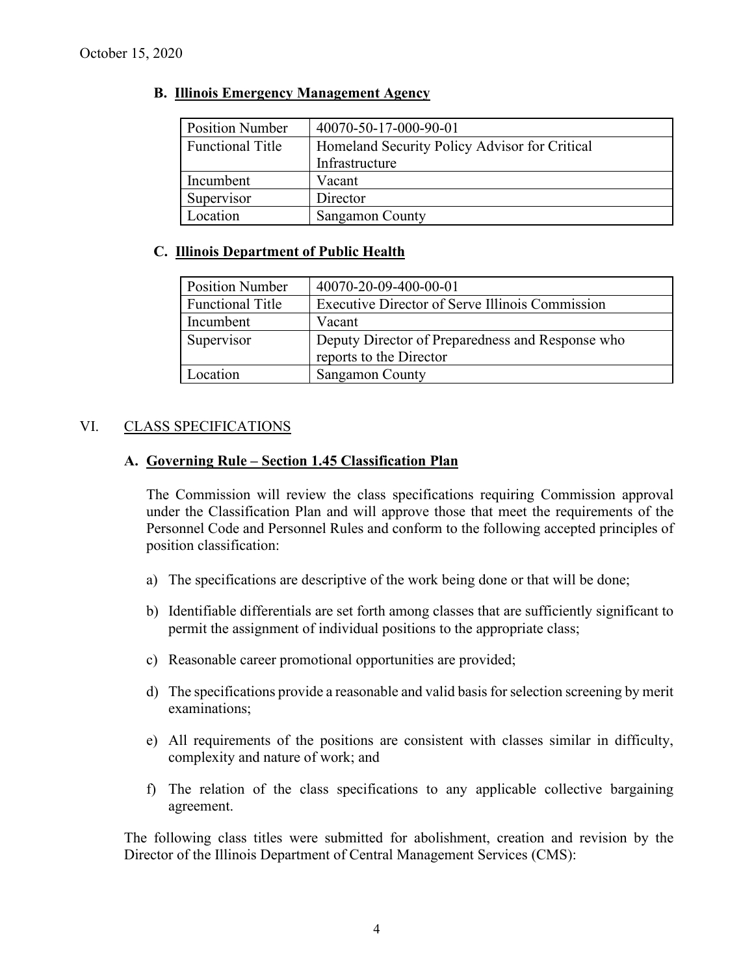### **B. Illinois Emergency Management Agency**

| <b>Position Number</b>  | 40070-50-17-000-90-01                         |
|-------------------------|-----------------------------------------------|
| <b>Functional Title</b> | Homeland Security Policy Advisor for Critical |
|                         | Infrastructure                                |
| Incumbent               | Vacant                                        |
| Supervisor              | Director                                      |
| Location                | <b>Sangamon County</b>                        |

## **C. Illinois Department of Public Health**

| <b>Position Number</b>  | 40070-20-09-400-00-01                            |
|-------------------------|--------------------------------------------------|
| <b>Functional Title</b> | Executive Director of Serve Illinois Commission  |
| Incumbent               | Vacant                                           |
| Supervisor              | Deputy Director of Preparedness and Response who |
|                         | reports to the Director                          |
| Location                | <b>Sangamon County</b>                           |

# VI. CLASS SPECIFICATIONS

### **A. Governing Rule – Section 1.45 Classification Plan**

The Commission will review the class specifications requiring Commission approval under the Classification Plan and will approve those that meet the requirements of the Personnel Code and Personnel Rules and conform to the following accepted principles of position classification:

- a) The specifications are descriptive of the work being done or that will be done;
- b) Identifiable differentials are set forth among classes that are sufficiently significant to permit the assignment of individual positions to the appropriate class;
- c) Reasonable career promotional opportunities are provided;
- d) The specifications provide a reasonable and valid basis for selection screening by merit examinations;
- e) All requirements of the positions are consistent with classes similar in difficulty, complexity and nature of work; and
- f) The relation of the class specifications to any applicable collective bargaining agreement.

The following class titles were submitted for abolishment, creation and revision by the Director of the Illinois Department of Central Management Services (CMS):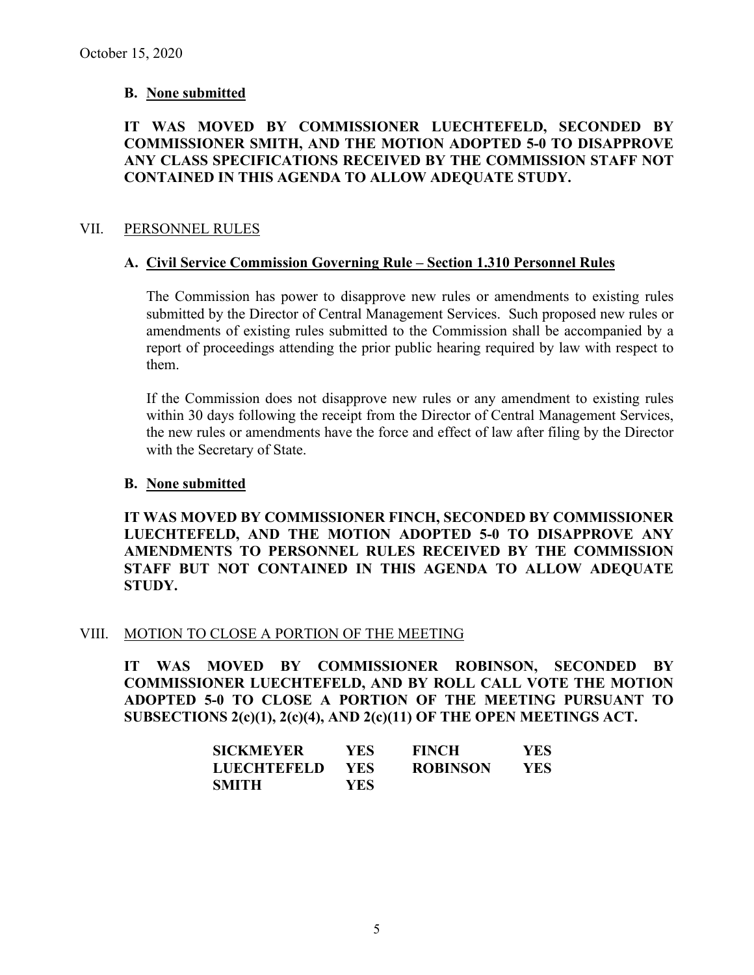### **B. None submitted**

# **IT WAS MOVED BY COMMISSIONER LUECHTEFELD, SECONDED BY COMMISSIONER SMITH, AND THE MOTION ADOPTED 5-0 TO DISAPPROVE ANY CLASS SPECIFICATIONS RECEIVED BY THE COMMISSION STAFF NOT CONTAINED IN THIS AGENDA TO ALLOW ADEQUATE STUDY.**

### VII. PERSONNEL RULES

#### **A. Civil Service Commission Governing Rule – Section 1.310 Personnel Rules**

The Commission has power to disapprove new rules or amendments to existing rules submitted by the Director of Central Management Services. Such proposed new rules or amendments of existing rules submitted to the Commission shall be accompanied by a report of proceedings attending the prior public hearing required by law with respect to them.

If the Commission does not disapprove new rules or any amendment to existing rules within 30 days following the receipt from the Director of Central Management Services, the new rules or amendments have the force and effect of law after filing by the Director with the Secretary of State.

#### **B. None submitted**

**IT WAS MOVED BY COMMISSIONER FINCH, SECONDED BY COMMISSIONER LUECHTEFELD, AND THE MOTION ADOPTED 5-0 TO DISAPPROVE ANY AMENDMENTS TO PERSONNEL RULES RECEIVED BY THE COMMISSION STAFF BUT NOT CONTAINED IN THIS AGENDA TO ALLOW ADEQUATE STUDY.** 

#### VIII. MOTION TO CLOSE A PORTION OF THE MEETING

**IT WAS MOVED BY COMMISSIONER ROBINSON, SECONDED BY COMMISSIONER LUECHTEFELD, AND BY ROLL CALL VOTE THE MOTION ADOPTED 5-0 TO CLOSE A PORTION OF THE MEETING PURSUANT TO SUBSECTIONS 2(c)(1), 2(c)(4), AND 2(c)(11) OF THE OPEN MEETINGS ACT.**

| <b>SICKMEYER</b> | YES- | <b>FINCH</b>    | YES  |
|------------------|------|-----------------|------|
| LUECHTEFELD      | YES. | <b>ROBINSON</b> | YES. |
| SMITH            | YES. |                 |      |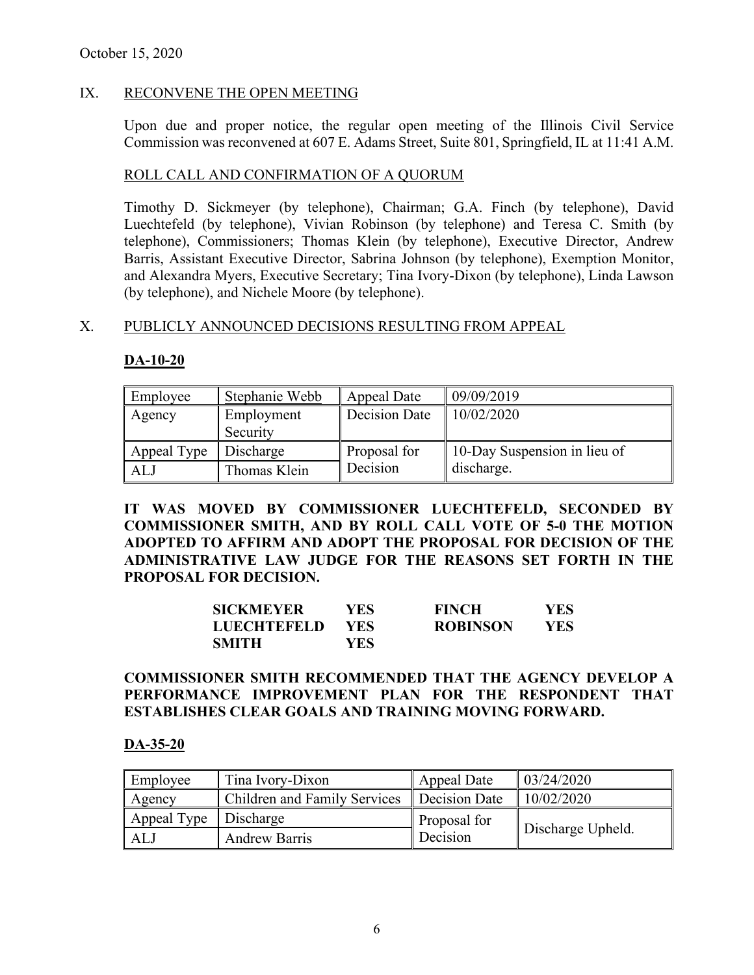# IX. RECONVENE THE OPEN MEETING

Upon due and proper notice, the regular open meeting of the Illinois Civil Service Commission was reconvened at 607 E. Adams Street, Suite 801, Springfield, IL at 11:41 A.M.

### ROLL CALL AND CONFIRMATION OF A QUORUM

Timothy D. Sickmeyer (by telephone), Chairman; G.A. Finch (by telephone), David Luechtefeld (by telephone), Vivian Robinson (by telephone) and Teresa C. Smith (by telephone), Commissioners; Thomas Klein (by telephone), Executive Director, Andrew Barris, Assistant Executive Director, Sabrina Johnson (by telephone), Exemption Monitor, and Alexandra Myers, Executive Secretary; Tina Ivory-Dixon (by telephone), Linda Lawson (by telephone), and Nichele Moore (by telephone).

#### X. PUBLICLY ANNOUNCED DECISIONS RESULTING FROM APPEAL

### **DA-10-20**

| Employee    | Stephanie Webb | Appeal Date   | 09/09/2019                   |
|-------------|----------------|---------------|------------------------------|
| Agency      | Employment     | Decision Date | 10/02/2020                   |
|             | Security       |               |                              |
| Appeal Type | Discharge      | Proposal for  | 10-Day Suspension in lieu of |
| <b>ALJ</b>  | Thomas Klein   | Decision      | discharge.                   |

**IT WAS MOVED BY COMMISSIONER LUECHTEFELD, SECONDED BY COMMISSIONER SMITH, AND BY ROLL CALL VOTE OF 5-0 THE MOTION ADOPTED TO AFFIRM AND ADOPT THE PROPOSAL FOR DECISION OF THE ADMINISTRATIVE LAW JUDGE FOR THE REASONS SET FORTH IN THE PROPOSAL FOR DECISION.** 

| SICKMEYER   | YES.       | <b>FINCH</b>    | YES. |
|-------------|------------|-----------------|------|
| LUECHTEFELD | <b>YES</b> | <b>ROBINSON</b> | YES. |
| SMITH       | YES.       |                 |      |

# **COMMISSIONER SMITH RECOMMENDED THAT THE AGENCY DEVELOP A PERFORMANCE IMPROVEMENT PLAN FOR THE RESPONDENT THAT ESTABLISHES CLEAR GOALS AND TRAINING MOVING FORWARD.**

#### **DA-35-20**

| Employee    | Tina Ivory-Dixon             | Appeal Date   | 03/24/2020        |
|-------------|------------------------------|---------------|-------------------|
| Agency      | Children and Family Services | Decision Date | 10/02/2020        |
| Appeal Type | Discharge                    | Proposal for  |                   |
| ALJ         | <b>Andrew Barris</b>         | Decision      | Discharge Upheld. |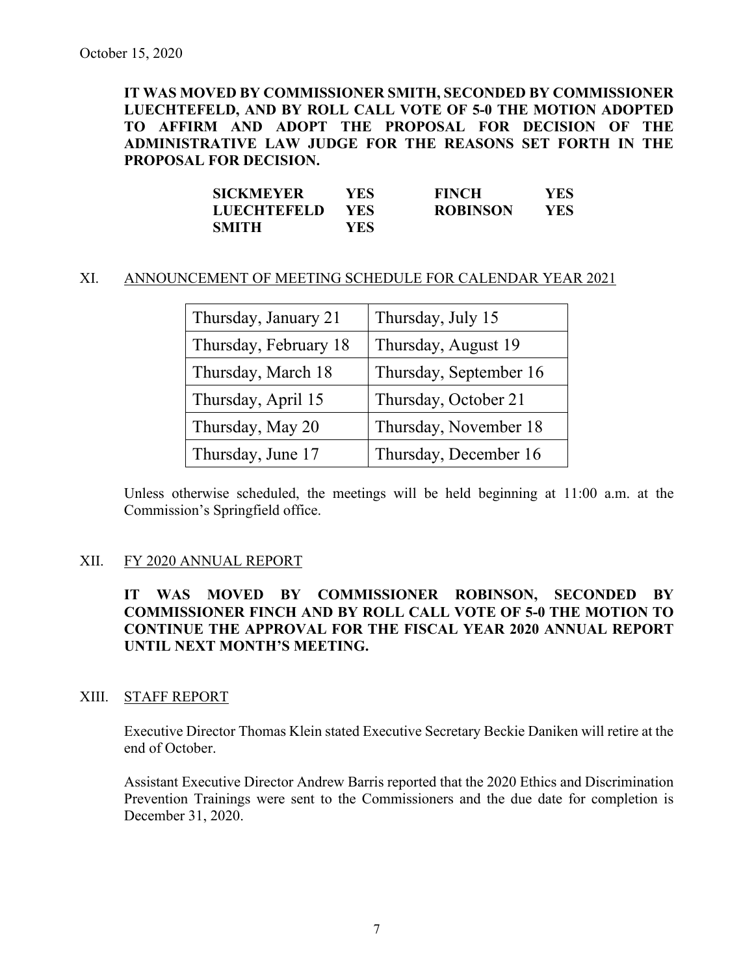**IT WAS MOVED BY COMMISSIONER SMITH, SECONDED BY COMMISSIONER LUECHTEFELD, AND BY ROLL CALL VOTE OF 5-0 THE MOTION ADOPTED TO AFFIRM AND ADOPT THE PROPOSAL FOR DECISION OF THE ADMINISTRATIVE LAW JUDGE FOR THE REASONS SET FORTH IN THE PROPOSAL FOR DECISION.**

| <b>SICKMEYER</b>   | YES- | <b>FINCH</b>    | YES |
|--------------------|------|-----------------|-----|
| <b>LUECHTEFELD</b> | YES. | <b>ROBINSON</b> | YES |
| <b>SMITH</b>       | YES- |                 |     |

#### XI. ANNOUNCEMENT OF MEETING SCHEDULE FOR CALENDAR YEAR 2021

| Thursday, January 21  | Thursday, July 15      |
|-----------------------|------------------------|
| Thursday, February 18 | Thursday, August 19    |
| Thursday, March 18    | Thursday, September 16 |
| Thursday, April 15    | Thursday, October 21   |
| Thursday, May 20      | Thursday, November 18  |
| Thursday, June 17     | Thursday, December 16  |

Unless otherwise scheduled, the meetings will be held beginning at 11:00 a.m. at the Commission's Springfield office.

#### XII. FY 2020 ANNUAL REPORT

**IT WAS MOVED BY COMMISSIONER ROBINSON, SECONDED BY COMMISSIONER FINCH AND BY ROLL CALL VOTE OF 5-0 THE MOTION TO CONTINUE THE APPROVAL FOR THE FISCAL YEAR 2020 ANNUAL REPORT UNTIL NEXT MONTH'S MEETING.**

#### XIII. STAFF REPORT

Executive Director Thomas Klein stated Executive Secretary Beckie Daniken will retire at the end of October.

Assistant Executive Director Andrew Barris reported that the 2020 Ethics and Discrimination Prevention Trainings were sent to the Commissioners and the due date for completion is December 31, 2020.